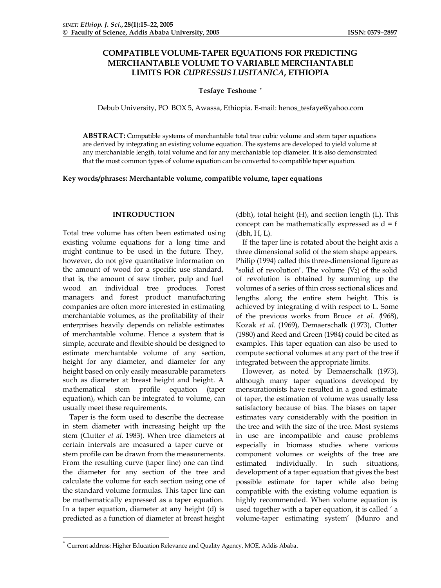# **COMPATIBLE VOLUME-TAPER EQUATIONS FOR PREDICTING MERCHANTABLE VOLUME TO VARIABLE MERCHANTABLE LIMITS FOR** *CUPRESSUS LUSITANICA***, ETHIOPIA**

# **Tesfaye Teshome \***

Debub University, PO BOX 5, Awassa, Ethiopia. E-mail: henos\_tesfaye@yahoo.com

**ABSTRACT:** Compatible systems of merchantable total tree cubic volume and stem taper equations are derived by integrating an existing volume equation. The systems are developed to yield volume at any merchantable length, total volume and for any merchantable top diameter. It is also demonstrated that the most common types of volume equation can be converted to compatible taper equation.

**Key words/phrases: Merchantable volume, compatible volume, taper equations**

### **INTRODUCTION**

Total tree volume has often been estimated using existing volume equations for a long time and might continue to be used in the future. They, however, do not give quantitative information on the amount of wood for a specific use standard, that is, the amount of saw timber, pulp and fuel wood an individual tree produces. Forest managers and forest product manufacturing companies are often more interested in estimating merchantable volumes, as the profitability of their enterprises heavily depends on reliable estimates of merchantable volume. Hence a system that is simple, accurate and flexible should be designed to estimate merchantable volume of any section, height for any diameter, and diameter for any height based on only easily measurable parameters such as diameter at breast height and height. A mathematical stem profile equation (taper equation), which can be integrated to volume, can usually meet these requirements.

Taper is the form used to describe the decrease in stem diameter with increasing height up the stem (Clutter *et al.* 1983). When tree diameters at certain intervals are measured a taper curve or stem profile can be drawn from the measurements. From the resulting curve (taper line) one can find the diameter for any section of the tree and calculate the volume for each section using one of the standard volume formulas. This taper line can be mathematically expressed as a taper equation. In a taper equation, diameter at any height (d) is predicted as a function of diameter at breast height

l

(dbh), total height (H), and section length (L). This concept can be mathematically expressed as  $d = f$ (dbh, H, L).

If the taper line is rotated about the height axis a three dimensional solid of the stem shape appears. Philip (1994) called this three-dimensional figure as "solid of revolution". The volume  $(V_2)$  of the solid of revolution is obtained by summing up the volumes of a series of thin cross sectional slices and lengths along the entire stem height. This is achieved by integrating d with respect to L. Some of the previous works from Bruce *et al. (*1968), Kozak *et al.* (1969), Demaerschalk (1973), Clutter (1980) and Reed and Green (1984) could be cited as examples. This taper equation can also be used to compute sectional volumes at any part of the tree if integrated between the appropriate limits.

However, as noted by Demaerschalk (1973), although many taper equations developed by mensurationists have resulted in a good estimate of taper, the estimation of volume was usually less satisfactory because of bias. The biases on taper estimates vary considerably with the position in the tree and with the size of the tree. Most systems in use are incompatible and cause problems especially in biomass studies where various component volumes or weights of the tree are estimated individually. In such situations, development of a taper equation that gives the best possible estimate for taper while also being compatible with the existing volume equation is highly recommended. When volume equation is used together with a taper equation, it is called ' a volume-taper estimating system' (Munro and

<sup>\*</sup> Current address: Higher Education Relevance and Quality Agency, MOE, Addis Ababa.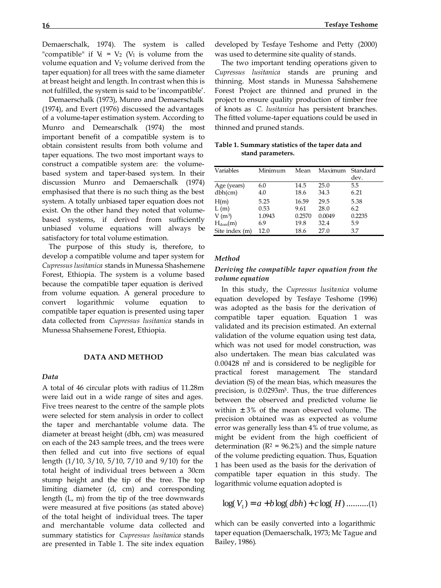Demaerschalk, 1974). The system is called "compatible" if  $V_1 = V_2$  ( $V_1$  is volume from the volume equation and  $V_2$  volume derived from the taper equation) for all trees with the same diameter at breast height and length. In contrast when this is not fulfilled, the system is said to be 'incompatible'.

Demaerschalk (1973), Munro and Demaerschalk (1974), and Evert (1976) discussed the advantages of a volume-taper estimation system. According to Munro and Demearschalk (1974) the most important benefit of a compatible system is to obtain consistent results from both volume and taper equations. The two most important ways to construct a compatible system are: the volumebased system and taper-based sys tem. In their discussion Munro and Demaerschalk (1974) emphasised that there is no such thing as the best system. A totally unbiased taper equation does not exist. On the other hand they noted that volumebased systems, if derived from sufficiently unbiased volume equations will always be satisfactory for total volume estimation.

The purpose of this study is, therefore, to develop a compatible volume and taper system for *Cupressus lusitanica* stands in Munessa Shashemene Forest, Ethiopia. The system is a volume based because the compatible taper equation is derived from volume equation. A general procedure to convert logarithmic volume equation to compatible taper equation is presented using taper data collected from *Cupressus lusitanica* stands in Munessa Shahsemene Forest, Ethiopia.

### **DATA AND METHOD**

#### *Data*

A total of 46 circular plots with radius of 11.28m were laid out in a wide range of sites and ages. Five trees nearest to the centre of the sample plots were selected for stem analysis in order to collect the taper and merchantable volume data. The diameter at breast height (dbh, cm) was measured on each of the 243 sample trees, and the trees were then felled and cut into five sections of equal length (1/10, 3/10, 5/10, 7/10 and 9/10) for the total height of individual trees between a 30cm stump height and the tip of the tree. The top limiting diameter (d, cm) and corresponding length (L, m) from the tip of the tree downwards were measured at five positions (as stated above) of the total height of individual trees. The taper and merchantable volume data collected and summary statistics for *Cupressus lusitanica* stands are presented in Table 1. The site index equation

developed by Tesfaye Teshome and Petty (2000) was used to determine site quality of stands.

The two important tending operations given to *Cupressus lusitanica* stands are pruning and thinning. Most stands in Munessa Sahshemene Forest Project are thinned and pruned in the project to ensure quality production of timber free of knots as *C. lusitanica* has persistent branches. The fitted volume-taper equations could be used in thinned and pruned stands.

## **Table 1. Summary statistics of the taper data and stand parameters.**

| Variables      | Minimum<br>Mean |        | Maximum | Standard |
|----------------|-----------------|--------|---------|----------|
|                |                 |        |         | dev.     |
| Age (years)    | 6.0             | 14.5   | 25.0    | 5.5      |
| dbh(cm)        | 4.0             | 18.6   | 34.3    | 6.21     |
| H(m)           | 5.25            | 16.59  | 29.5    | 5.38     |
| L(m)           | 0.53            | 9.61   | 28.0    | 6.2      |
| $V(m^3)$       | 1.0943          | 0.2570 | 0.0049  | 0.2235   |
| $H_{dom}(m)$   | 6.9             | 19.8   | 32.4    | 5.9      |
| Site index (m) | 12.0            | 18.6   | 27.0    | 3.7      |

### *Method*

# *Deriving the compatible taper equation from the volume equation*

In this study, the *Cupressus lusitanica* volume equation developed by Tesfaye Teshome (1996) was adopted as the basis for the derivation of compatible taper equation. Equation 1 was validated and its precision estimated. An external validation of the volume equation using test data, which was not used for model construction, was also undertaken. The mean bias calculated was 0.00428 m3 and is considered to be negligible for practical forest management. The standard deviation (S) of the mean bias, which measures the precision, is 0.0293m3. Thus, the true differences between the observed and predicted volume lie within  $\pm$  3% of the mean observed volume. The precision obtained was as expected as volume error was generally less than 4% of true volume, as might be evident from the high coefficient of determination ( $R^2 = 96.2\%$ ) and the simple nature of the volume predicting equation. Thus, Equation 1 has been used as the basis for the derivation of compatible taper equation in this study. The logarithmic volume equation adopted is

$$
log(V_1) = a + b log(dbh) + c log(H) \dots (1)
$$

which can be easily converted into a logarithmic taper equation (Demaerschalk, 1973; Mc Tague and Bailey, 1986).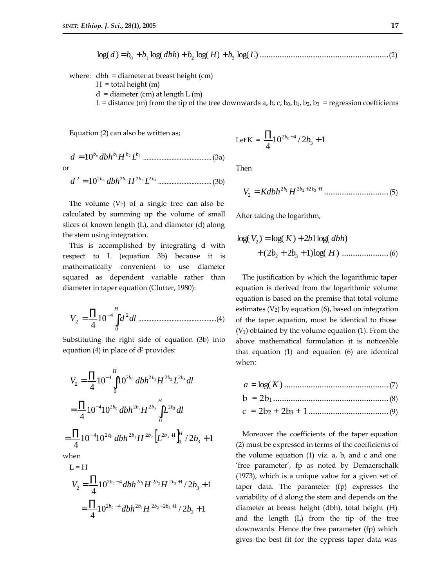log( ) log( ) log( ) log( ) *d* = *b*<sup>0</sup> + *b*<sup>1</sup> *dbh* + *b*<sup>2</sup> *H* + *b*<sup>3</sup> *L* ..........................................................(2)

where:  $dbh = diameter$  at breast height (cm)

 $H =$  total height (m)

 $d =$  diameter (cm) at length L (m)

L = distance (m) from the tip of the tree downwards a, b, c, b<sub>0</sub>, b<sub>1</sub>, b<sub>2</sub>, b<sub>3</sub> = regression coefficients

Equation (2) can also be written as;

Let K = 
$$
\frac{\Pi}{4} 10^{2b_0 - 4} / 2b_3 + 1
$$

Then

<sup>2</sup> <sup>2</sup> <sup>2</sup> <sup>1</sup> <sup>2</sup> <sup>2</sup> <sup>2</sup> <sup>3</sup> 10 *<sup>b</sup> <sup>b</sup> <sup>b</sup> <sup>b</sup> d dbh H L <sup>o</sup>* = ................................(3b)

<sup>1</sup> <sup>2</sup> <sup>3</sup> 10*<sup>b</sup> <sup>b</sup> <sup>b</sup> <sup>b</sup> d dbh H L <sup>o</sup>* = .........................................(3a)

The volume  $(V_2)$  of a single tree can also be calculated by summing up the volume of small slices of known length (L), and diameter (d) along the stem using integration.

This is accomplished by integrating d with respect to L (equation 3b) because it is mathematically convenient to use diameter squared as dependent variable rather than diameter in taper equation (Clutter, 1980):

*V d dl H* ∫ ∏ <sup>−</sup> = 0 4 2 <sup>2</sup> 10 4 ...............................................(4)

Substituting the right side of equation (3b) into equation (4) in place of  $d^2$  provides:

$$
V_2 = \frac{\prod}{4} 10^{-4} \int_0^H 10^{2b_0} db h^{2b_1} H^{2b_2} L^{2b_3} dl
$$
  
= 
$$
\frac{\prod}{4} 10^{-4} 10^{2b_0} db h^{2b_1} H^{2b_2} \int_0^H L^{2b_3} dl
$$
  
= 
$$
\frac{\prod}{4} 10^{-4} 10^{2b_0} db h^{2b_1} H^{2b_2} \Big[ L^{2b_3+1} \Big]_0^H / 2b_3 + 1
$$

when

 $L = H$ 

or

$$
V_2 = \frac{\prod}{4} 10^{2b_0 - 4} dbh^{2b_1} H^{2b_2} H^{2b_3 + 1} / 2b_3 + 1
$$
  
= 
$$
\frac{\prod}{4} 10^{2b_0 - 4} dbh^{2b_1} H^{2b_2 + 2b_3 + 1} / 2b_3 + 1
$$

2 2 2 1 2 <sup>1</sup> <sup>2</sup> + <sup>3</sup> + = *<sup>b</sup> <sup>b</sup> <sup>b</sup> V Kdbh H* .............................(5)

After taking the logarithm,

$$
log(V_2) = log(K) + 2b1 log(dbh)
$$
  
+  $(2b_2 + 2b_3 + 1)log(H)$  ....... (6)

The justification by which the logarithmic taper equation is derived from the logarithmic volume equation is based on the premise that total volume estimates  $(V_2)$  by equation  $(6)$ , based on integration of the taper equation, must be identical to those  $(V_1)$  obtained by the volume equation (1). From the above mathematical formulation it is noticeable that equation (1) and equation (6) are identical when:

c = 2b2 + 2b3 + 1....................................(9)

Moreover the coefficients of the taper equation (2) must be expressed in terms of the coefficients of the volume equation (1) viz. a, b, and c and one 'free parameter', fp as noted by Demaerschalk (1973), which is a unique value for a given set of taper data. The parameter (fp) expresses the variability of d along the stem and depends on the diameter at breast height (dbh), total height (H) and the length (L) from the tip of the tree downwards. Hence the free parameter (fp) which gives the best fit for the cypress taper data was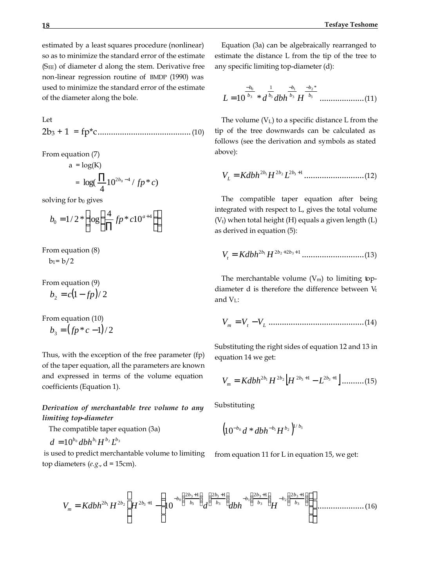estimated by a least squares procedure (nonlinear) so as to minimize the standard error of the estimate (S<sub>EE</sub>) of diameter d along the stem. Derivative free non-linear regression routine of BMDP (1990) was used to minimize the standard error of the estimate of the diameter along the bole.

Let  
 
$$
2b_3 + 1 = fp^*c
$$
.................(10)

From equation (7)

a = log(K)  
= log(
$$
\frac{\Pi}{4}
$$
10<sup>2b<sub>0</sub>-4</sup>/fp \* c)

solving for b<sub>0</sub> gives

$$
b_0 = 1/2 * \left[ \log \left( \frac{4}{\Pi} f p \cdot c 10^{a+4} \right) \right]
$$

From equation (8)  $b_1 = b/2$ 

From equation (9)

 $b_2 = c(1 - fp)/2$ 

From equation (10)

$$
b_3 = \left(\frac{f}{p} \cdot c - 1\right) / 2
$$

Thus, with the exception of the free parameter (fp) of the taper equation, all the parameters are known and expressed in terms of the volume equation coefficients (Equation 1).

# *Derivation of merchantable tree volume to any limiting top-diameter*

The compatible taper equation (3a)

 $d = 10^{b_0} dbh^{b_1}H^{b_2}L^{b_3}$ 

is used to predict merchantable volume to limiting top diameters  $(e.g., d = 15cm)$ .

Equation (3a) can be algebraically rearranged to estimate the distance L from the tip of the tree to any specific limiting top-diameter (d):

3 2 3 1 3 3 <sup>0</sup> 1 \* 10 \* *b b b b b b b L d dbh H* − − − = ....................(11)

The volume  $(V<sub>L</sub>)$  to a specific distance  $L$  from the tip of the tree downwards can be calculated as follows (see the derivation and symbols as stated above):

2 <sup>1</sup> 2 <sup>2</sup> 2 <sup>3</sup> +1 = *<sup>b</sup> <sup>b</sup> <sup>b</sup> V<sup>L</sup> Kdbh H L* ...........................(12)

The compatible taper equation after being integrated with respect to L, gives the total volume  $(V<sub>t</sub>)$  when total height (H) equals a given length (L) as derived in equation (5):

2 <sup>1</sup> 2 <sup>2</sup> +2 <sup>3</sup> +1 = *<sup>b</sup> <sup>b</sup> <sup>b</sup> V<sup>t</sup> Kdbh H* ............................(13)

The merchantable volume  $(V_m)$  to limiting topdiameter d is therefore the difference between Vt and  $V_L$ :

*V<sup>m</sup>* = *V<sup>t</sup>* −*V<sup>L</sup>* ...........................................(14)

Substituting the right sides of equation 12 and 13 in equation 14 we get:

$$
V_m = Kdbh^{2b_1}H^{2b_2}\left[H^{2b_3+1}-L^{2b_3+1}\right] \dots \dots \dots \dots (15)
$$

Substituting

$$
\left(10^{-b_0}d * dbh^{-b_1}H^{b_2}\right)^{\!\!\!1/\,b_3}
$$

from equation 11 for L in equation 15, we get:

 = − + − + − + + − + <sup>3</sup> 3 2 3 3 1 3 3 3 3 0 1 2 3 2 1 2 1 2 1 2 1 2 2 2 1 10 *<sup>b</sup> b b b b b b b b b b <sup>b</sup> <sup>b</sup> <sup>b</sup> V<sup>m</sup> Kdbh H H d dbh H* .....................(16)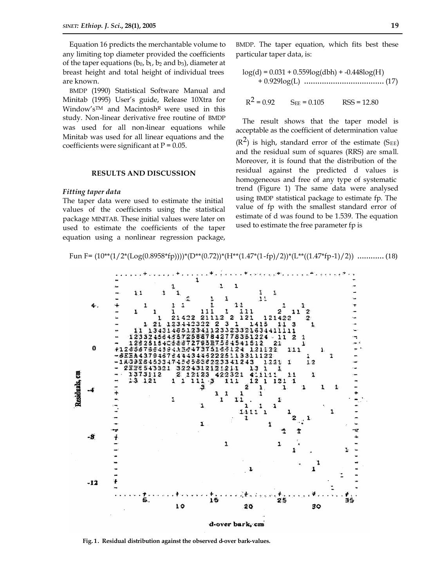Equation 16 predicts the merchantable volume to any limiting top diameter provided the coefficients of the taper equations ( $b_0$ ,  $b_1$ ,  $b_2$  and  $b_3$ ), diameter at breast height and total height of individual trees are known.

BMDP (1990) Statistical Software Manual and Minitab (1995) User's guide, Release 10Xtra for Window'sTM and MacintoshR were used in this study. Non-linear derivative free routine of BMDP was used for all non-linear equations while Minitab was used for all linear equations and the coefficients were significant at  $P = 0.05$ .

### **RESULTS AND DISCUSSION**

### *Fitting taper data*

The taper data were used to estimate the initial values of the coefficients using the statistical package MINITAB. These initial values were later on used to estimate the coefficients of the taper equation using a nonlinear regression package,

$$
log(d) = 0.031 + 0.559log(dbh) + 0.448log(H)
$$
  
+ 0.929log(L) \n................. (17)  

$$
R^2 = 0.92
$$
 \n
$$
S_{EE} = 0.105
$$
 \n
$$
RSS = 12.80
$$

The result shows that the taper model is acceptable as the coefficient of determination value  $(R<sup>2</sup>)$  is high, standard error of the estimate (S<sub>EE</sub>) and the residual sum of squares (RRS) are small. Moreover, it is found that the distribution of the residual against the predicted d values is homogeneous and free of any type of systematic trend (Figure 1) The same data were analysed using BMDP statistical package to estimate fp. The value of fp with the smallest standard error of estimate of d was found to be 1.539. The equation used to estimate the free parameter fp is





**Fig. 1. Residual distribution against the observed d-over bark-values.**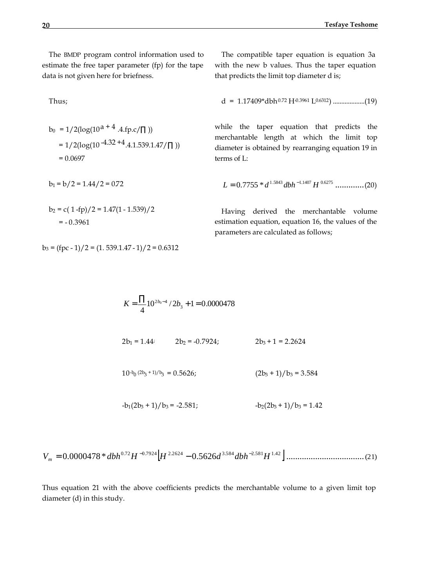The BMDP program control information used to estimate the free taper parameter (fp) for the tape data is not given here for briefness.

Thus;

$$
b_0 = 1/2(\log(10^{a+4} .4.\text{fp.c/II}))
$$
  
= 1/2(log(10<sup>-4.32</sup> +4.4.1.539.1.47/II))  
= 0.0697

 $b_1 = b/2 = 1.44/2 = 0.72$ 

$$
b_2 = c(1-fp)/2 = 1.47(1 - 1.539)/2
$$
  
= -0.3961

$$
b_3 = (fpc - 1)/2 = (1, 539.1.47 - 1)/2 = 0.6312
$$

The compatible taper equation is equation 3a with the new b values. Thus the taper equation that predicts the limit top diameter d is;

$$
d = 1.17409 * dbh0.72 H0.3961 L0.6312 )
$$
.................(19)

while the taper equation that predicts the merchantable length at which the limit top diameter is obtained by rearranging equation 19 in terms of L:

$$
L = 0.7755 * d^{1.5843} dbh^{-1.1407} H^{0.6275} \dots \dots \dots \dots \dots (20)
$$

Having derived the merchantable volume estimation equation, equation 16, the values of the parameters are calculated as follows;

$$
K = \frac{\Pi}{4} 10^{2b_0 - 4} / 2b_3 + 1 = 0.0000478
$$

 $2b_1 = 1.44$ ;  $2b_2 = -0.7924$ ;  $2b_3 + 1 = 2.2624$ 

$$
10^{-b_0 (2b_3 + 1)/b_3} = 0.5626;
$$
 (2b<sub>3</sub> + 1)/b<sub>3</sub> = 3.584

$$
-b_1(2b_3 + 1)/b_3 = -2.581;
$$
  $-b_2(2b_3 + 1)/b_3 = 1.42$ 

[ ] 0.72 0.7924 2.2624 3.584 2.581 1.42 *V<sup>m</sup>* 0.0000478 \* *dbh H H* 0.5626*d dbh H* − − = − ...................................(21)

Thus equation 21 with the above coefficients predicts the merchantable volume to a given limit top diameter (d) in this study.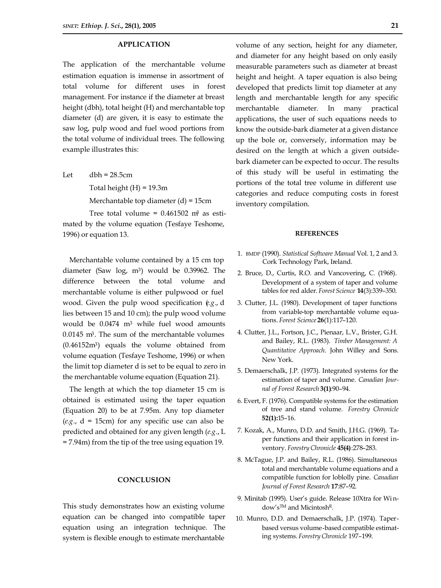## **APPLICATION**

The application of the merchantable volume estimation equation is immense in assortment of total volume for different uses in forest management. For instance if the diameter at breast height (dbh), total height (H) and merchantable top diameter (d) are given, it is easy to estimate the saw log, pulp wood and fuel wood portions from the total volume of individual trees. The following example illustrates this:

Let  $dbh = 28.5cm$ 

Total height  $(H) = 19.3m$ 

Merchantable top diameter (d) = 15cm

Tree total volume =  $0.461502$  m<sup>3</sup> as estimated by the volume equation (Tesfaye Teshome, 1996) or equation 13.

Merchantable volume contained by a 15 cm top diameter (Saw log, m3) would be 0.39962. The difference between the total volume and merchantable volume is either pulpwood or fuel wood. Given the pulp wood specification (*e.g*., d lies between 15 and 10 cm); the pulp wood volume would be 0.0474 m3 while fuel wood amounts 0.0145 m3. The sum of the merchantable volumes (0.46152m3) equals the volume obtained from volume equation (Tesfaye Teshome, 1996) or when the limit top diameter d is set to be equal to zero in the merchantable volume equation (Equation 21).

The length at which the top diameter 15 cm is obtained is estimated using the taper equation (Equation 20) to be at 7.95m. Any top diameter  $(e.g., d = 15cm)$  for any specific use can also be predicted and obtained for any given length (*e.g*., L = 7.94m) from the tip of the tree using equation 19.

### **CONCLUSION**

This study demonstrates how an existing volume equation can be changed into compatible taper equation using an integration technique. The system is flexible enough to estimate merchantable

volume of any section, height for any diameter, and diameter for any height based on only easily measurable parameters such as diameter at breast height and height. A taper equation is also being developed that predicts limit top diameter at any length and merchantable length for any specific merchantable diameter. In many practical applications, the user of such equations needs to know the outside-bark diameter at a given distance up the bole or, conversely, information may be desired on the length at which a given outsidebark diameter can be expected to occur. The results of this study will be useful in estimating the portions of the total tree volume in different use categories and reduce computing costs in forest inventory compilation.

### **REFERENCES**

- 1. BMDP (1990). *Statistical Software Manual* Vol. 1, 2 and 3. Cork Technology Park, Ireland.
- 2. Bruce, D., Curtis, R.O. and Vancovering, C. (1968). Development of a system of taper and volume tables for red alder. *Forest Science* **14**(3):339–350.
- 3. Clutter, J.L. (1980). Development of taper functions from variable-top merchantable volume equations. *Forest Science* **26**(1):117–120.
- 4. Clutter, J.L., Fortson, J.C., Pienaar, L.V., Brister, G.H. and Bailey, R.L. (1983). *Timber Management: A Quantitative Approach*. John Willey and Sons. New York.
- 5. Demaerschalk, J.P. (1973). Integrated systems for the estimation of taper and volume. *Canadian Journal of Forest Research* **3(1)**:90–94.
- 6. Evert, F. (1976). Compatible systems for the estimation of tree and stand volume. *Forestry Chronicle* **52(1):**15–16.
- 7. Kozak, A., Munro, D.D. and Smith, J.H.G. (1969). Taper functions and their application in forest inventory. *Forestry Chronicle* **45(4)**:278–283.
- 8. McTague, J.P. and Bailey, R.L. (1986). Simultaneous total and merchantable volume equations and a compatible function for loblolly pine. *Canadian Journal of Forest Research* **17**:87–92.
- 9. Minitab (1995). User's guide. Release 10Xtra for Wi ndow'sTM and MicintoshR.
- 10. Munro, D.D. and Demaerschalk, J.P. (1974). Taperbased versus volume-based compatible estimating systems. *Forestry Chronicle* 197–199.